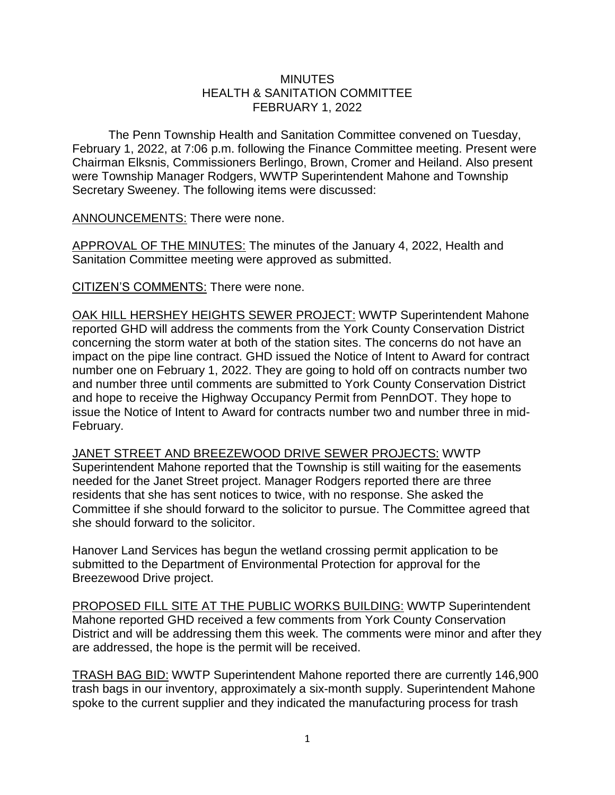## **MINUTES** HEALTH & SANITATION COMMITTEE FEBRUARY 1, 2022

The Penn Township Health and Sanitation Committee convened on Tuesday, February 1, 2022, at 7:06 p.m. following the Finance Committee meeting. Present were Chairman Elksnis, Commissioners Berlingo, Brown, Cromer and Heiland. Also present were Township Manager Rodgers, WWTP Superintendent Mahone and Township Secretary Sweeney. The following items were discussed:

ANNOUNCEMENTS: There were none.

APPROVAL OF THE MINUTES: The minutes of the January 4, 2022, Health and Sanitation Committee meeting were approved as submitted.

CITIZEN'S COMMENTS: There were none.

OAK HILL HERSHEY HEIGHTS SEWER PROJECT: WWTP Superintendent Mahone reported GHD will address the comments from the York County Conservation District concerning the storm water at both of the station sites. The concerns do not have an impact on the pipe line contract. GHD issued the Notice of Intent to Award for contract number one on February 1, 2022. They are going to hold off on contracts number two and number three until comments are submitted to York County Conservation District and hope to receive the Highway Occupancy Permit from PennDOT. They hope to issue the Notice of Intent to Award for contracts number two and number three in mid-February.

JANET STREET AND BREEZEWOOD DRIVE SEWER PROJECTS: WWTP Superintendent Mahone reported that the Township is still waiting for the easements needed for the Janet Street project. Manager Rodgers reported there are three residents that she has sent notices to twice, with no response. She asked the Committee if she should forward to the solicitor to pursue. The Committee agreed that she should forward to the solicitor.

Hanover Land Services has begun the wetland crossing permit application to be submitted to the Department of Environmental Protection for approval for the Breezewood Drive project.

PROPOSED FILL SITE AT THE PUBLIC WORKS BUILDING: WWTP Superintendent Mahone reported GHD received a few comments from York County Conservation District and will be addressing them this week. The comments were minor and after they are addressed, the hope is the permit will be received.

TRASH BAG BID: WWTP Superintendent Mahone reported there are currently 146,900 trash bags in our inventory, approximately a six-month supply. Superintendent Mahone spoke to the current supplier and they indicated the manufacturing process for trash